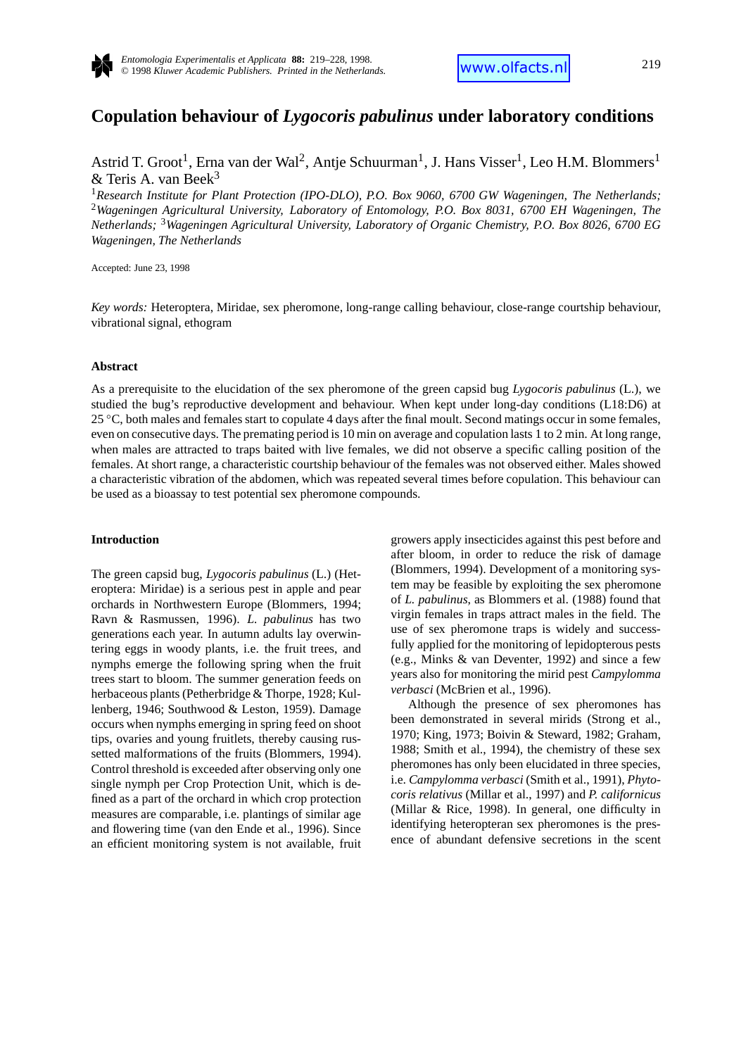

# **Copulation behaviour of** *Lygocoris pabulinus* **under laboratory conditions**

Astrid T. Groot<sup>1</sup>, Erna van der Wal<sup>2</sup>, Antje Schuurman<sup>1</sup>, J. Hans Visser<sup>1</sup>, Leo H.M. Blommers<sup>1</sup> & Teris A. van Beek<sup>3</sup>

<sup>1</sup>*Research Institute for Plant Protection (IPO-DLO), P.O. Box 9060, 6700 GW Wageningen, The Netherlands;* <sup>2</sup>*Wageningen Agricultural University, Laboratory of Entomology, P.O. Box 8031, 6700 EH Wageningen, The Netherlands;* <sup>3</sup>*Wageningen Agricultural University, Laboratory of Organic Chemistry, P.O. Box 8026, 6700 EG Wageningen, The Netherlands*

Accepted: June 23, 1998

*Key words:* Heteroptera, Miridae, sex pheromone, long-range calling behaviour, close-range courtship behaviour, vibrational signal, ethogram

## **Abstract**

As a prerequisite to the elucidation of the sex pheromone of the green capsid bug *Lygocoris pabulinus* (L.), we studied the bug's reproductive development and behaviour. When kept under long-day conditions (L18:D6) at 25 °C, both males and females start to copulate 4 days after the final moult. Second matings occur in some females, even on consecutive days. The premating period is 10 min on average and copulation lasts 1 to 2 min. At long range, when males are attracted to traps baited with live females, we did not observe a specific calling position of the females. At short range, a characteristic courtship behaviour of the females was not observed either. Males showed a characteristic vibration of the abdomen, which was repeated several times before copulation. This behaviour can be used as a bioassay to test potential sex pheromone compounds.

## **Introduction**

The green capsid bug, *Lygocoris pabulinus* (L.) (Heteroptera: Miridae) is a serious pest in apple and pear orchards in Northwestern Europe (Blommers, 1994; Ravn & Rasmussen, 1996). *L. pabulinus* has two generations each year. In autumn adults lay overwintering eggs in woody plants, i.e. the fruit trees, and nymphs emerge the following spring when the fruit trees start to bloom. The summer generation feeds on herbaceous plants (Petherbridge & Thorpe, 1928; Kullenberg, 1946; Southwood & Leston, 1959). Damage occurs when nymphs emerging in spring feed on shoot tips, ovaries and young fruitlets, thereby causing russetted malformations of the fruits (Blommers, 1994). Control threshold is exceeded after observing only one single nymph per Crop Protection Unit, which is defined as a part of the orchard in which crop protection measures are comparable, i.e. plantings of similar age and flowering time (van den Ende et al., 1996). Since an efficient monitoring system is not available, fruit growers apply insecticides against this pest before and after bloom, in order to reduce the risk of damage (Blommers, 1994). Development of a monitoring system may be feasible by exploiting the sex pheromone of *L. pabulinus*, as Blommers et al. (1988) found that virgin females in traps attract males in the field. The use of sex pheromone traps is widely and successfully applied for the monitoring of lepidopterous pests (e.g., Minks & van Deventer, 1992) and since a few years also for monitoring the mirid pest *Campylomma verbasci* (McBrien et al., 1996).

Although the presence of sex pheromones has been demonstrated in several mirids (Strong et al., 1970; King, 1973; Boivin & Steward, 1982; Graham, 1988; Smith et al., 1994), the chemistry of these sex pheromones has only been elucidated in three species, i.e. *Campylomma verbasci* (Smith et al., 1991), *Phytocoris relativus* (Millar et al., 1997) and *P. californicus* (Millar & Rice, 1998). In general, one difficulty in identifying heteropteran sex pheromones is the presence of abundant defensive secretions in the scent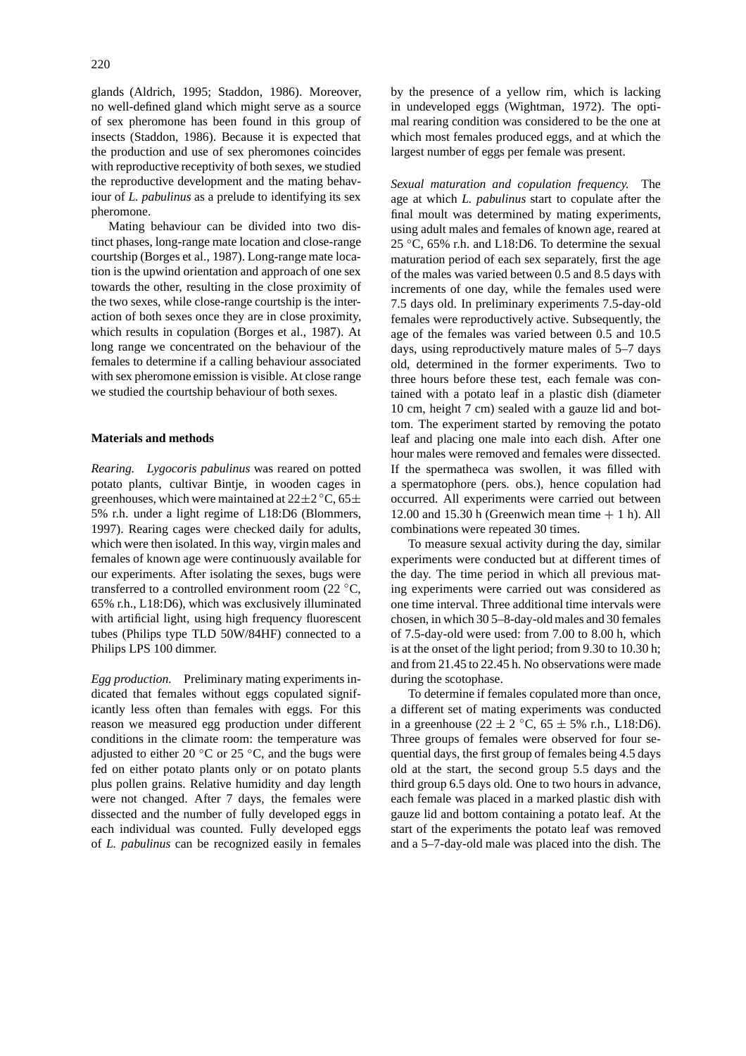glands (Aldrich, 1995; Staddon, 1986). Moreover, no well-defined gland which might serve as a source of sex pheromone has been found in this group of insects (Staddon, 1986). Because it is expected that the production and use of sex pheromones coincides with reproductive receptivity of both sexes, we studied the reproductive development and the mating behaviour of *L. pabulinus* as a prelude to identifying its sex pheromone.

Mating behaviour can be divided into two distinct phases, long-range mate location and close-range courtship (Borges et al., 1987). Long-range mate location is the upwind orientation and approach of one sex towards the other, resulting in the close proximity of the two sexes, while close-range courtship is the interaction of both sexes once they are in close proximity, which results in copulation (Borges et al., 1987). At long range we concentrated on the behaviour of the females to determine if a calling behaviour associated with sex pheromone emission is visible. At close range we studied the courtship behaviour of both sexes.

## **Materials and methods**

*Rearing. Lygocoris pabulinus* was reared on potted potato plants, cultivar Bintje, in wooden cages in greenhouses, which were maintained at  $22\pm2^{\circ}$ C, 65 $\pm$ 5% r.h. under a light regime of L18:D6 (Blommers, 1997). Rearing cages were checked daily for adults, which were then isolated. In this way, virgin males and females of known age were continuously available for our experiments. After isolating the sexes, bugs were transferred to a controlled environment room (22  $\,^{\circ}$ C, 65% r.h., L18:D6), which was exclusively illuminated with artificial light, using high frequency fluorescent tubes (Philips type TLD 50W/84HF) connected to a Philips LPS 100 dimmer.

*Egg production.* Preliminary mating experiments indicated that females without eggs copulated significantly less often than females with eggs. For this reason we measured egg production under different conditions in the climate room: the temperature was adjusted to either 20  $°C$  or 25  $°C$ , and the bugs were fed on either potato plants only or on potato plants plus pollen grains. Relative humidity and day length were not changed. After 7 days, the females were dissected and the number of fully developed eggs in each individual was counted. Fully developed eggs of *L. pabulinus* can be recognized easily in females

by the presence of a yellow rim, which is lacking in undeveloped eggs (Wightman, 1972). The optimal rearing condition was considered to be the one at which most females produced eggs, and at which the largest number of eggs per female was present.

*Sexual maturation and copulation frequency.* The age at which *L. pabulinus* start to copulate after the final moult was determined by mating experiments, using adult males and females of known age, reared at 25 ◦C, 65% r.h. and L18:D6. To determine the sexual maturation period of each sex separately, first the age of the males was varied between 0.5 and 8.5 days with increments of one day, while the females used were 7.5 days old. In preliminary experiments 7.5-day-old females were reproductively active. Subsequently, the age of the females was varied between 0.5 and 10.5 days, using reproductively mature males of 5–7 days old, determined in the former experiments. Two to three hours before these test, each female was contained with a potato leaf in a plastic dish (diameter 10 cm, height 7 cm) sealed with a gauze lid and bottom. The experiment started by removing the potato leaf and placing one male into each dish. After one hour males were removed and females were dissected. If the spermatheca was swollen, it was filled with a spermatophore (pers. obs.), hence copulation had occurred. All experiments were carried out between 12.00 and 15.30 h (Greenwich mean time  $+$  1 h). All combinations were repeated 30 times.

To measure sexual activity during the day, similar experiments were conducted but at different times of the day. The time period in which all previous mating experiments were carried out was considered as one time interval. Three additional time intervals were chosen, in which 30 5–8-day-old males and 30 females of 7.5-day-old were used: from 7.00 to 8.00 h, which is at the onset of the light period; from 9.30 to 10.30 h; and from 21.45 to 22.45 h. No observations were made during the scotophase.

To determine if females copulated more than once, a different set of mating experiments was conducted in a greenhouse (22 ± 2  $°C$ , 65 ± 5% r.h., L18:D6). Three groups of females were observed for four sequential days, the first group of females being 4.5 days old at the start, the second group 5.5 days and the third group 6.5 days old. One to two hours in advance, each female was placed in a marked plastic dish with gauze lid and bottom containing a potato leaf. At the start of the experiments the potato leaf was removed and a 5–7-day-old male was placed into the dish. The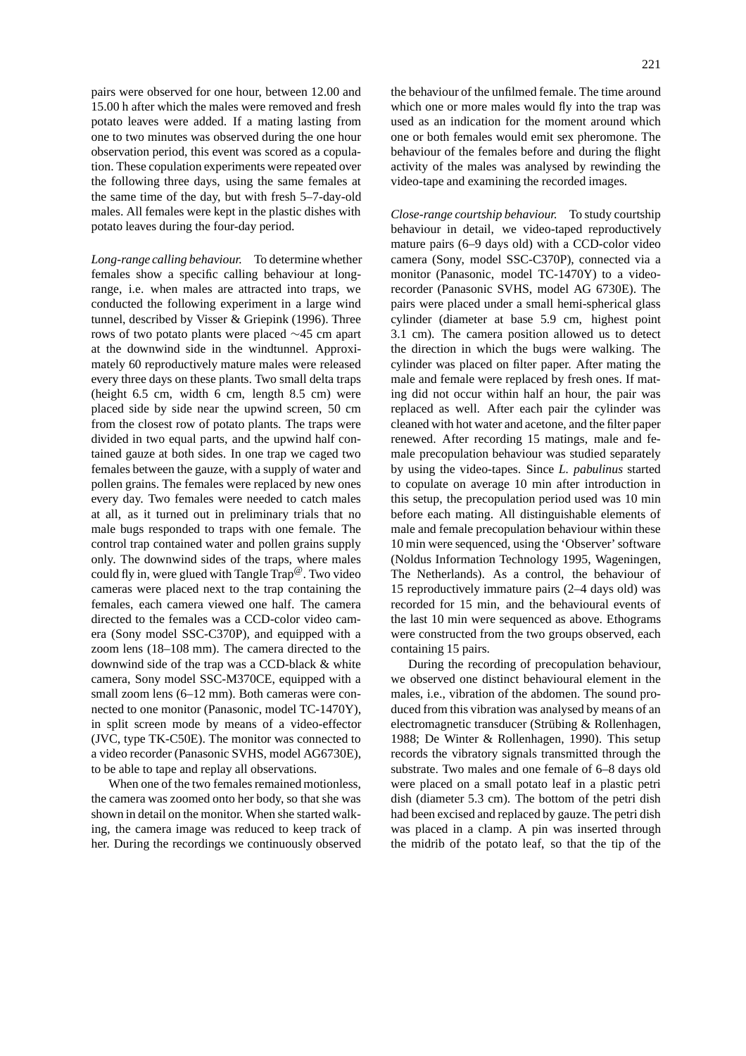pairs were observed for one hour, between 12.00 and 15.00 h after which the males were removed and fresh potato leaves were added. If a mating lasting from one to two minutes was observed during the one hour observation period, this event was scored as a copulation. These copulation experiments were repeated over the following three days, using the same females at the same time of the day, but with fresh 5–7-day-old males. All females were kept in the plastic dishes with potato leaves during the four-day period.

*Long-range calling behaviour.* To determine whether females show a specific calling behaviour at longrange, i.e. when males are attracted into traps, we conducted the following experiment in a large wind tunnel, described by Visser & Griepink (1996). Three rows of two potato plants were placed ∼45 cm apart at the downwind side in the windtunnel. Approximately 60 reproductively mature males were released every three days on these plants. Two small delta traps (height 6.5 cm, width 6 cm, length 8.5 cm) were placed side by side near the upwind screen, 50 cm from the closest row of potato plants. The traps were divided in two equal parts, and the upwind half contained gauze at both sides. In one trap we caged two females between the gauze, with a supply of water and pollen grains. The females were replaced by new ones every day. Two females were needed to catch males at all, as it turned out in preliminary trials that no male bugs responded to traps with one female. The control trap contained water and pollen grains supply only. The downwind sides of the traps, where males could fly in, were glued with Tangle Trap<sup> $\mathcal{O}$ </sup>. Two video cameras were placed next to the trap containing the females, each camera viewed one half. The camera directed to the females was a CCD-color video camera (Sony model SSC-C370P), and equipped with a zoom lens (18–108 mm). The camera directed to the downwind side of the trap was a CCD-black & white camera, Sony model SSC-M370CE, equipped with a small zoom lens (6–12 mm). Both cameras were connected to one monitor (Panasonic, model TC-1470Y), in split screen mode by means of a video-effector (JVC, type TK-C50E). The monitor was connected to a video recorder (Panasonic SVHS, model AG6730E), to be able to tape and replay all observations.

When one of the two females remained motionless, the camera was zoomed onto her body, so that she was shown in detail on the monitor. When she started walking, the camera image was reduced to keep track of her. During the recordings we continuously observed the behaviour of the unfilmed female. The time around which one or more males would fly into the trap was used as an indication for the moment around which one or both females would emit sex pheromone. The behaviour of the females before and during the flight activity of the males was analysed by rewinding the video-tape and examining the recorded images.

*Close-range courtship behaviour.* To study courtship behaviour in detail, we video-taped reproductively mature pairs (6–9 days old) with a CCD-color video camera (Sony, model SSC-C370P), connected via a monitor (Panasonic, model TC-1470Y) to a videorecorder (Panasonic SVHS, model AG 6730E). The pairs were placed under a small hemi-spherical glass cylinder (diameter at base 5.9 cm, highest point 3.1 cm). The camera position allowed us to detect the direction in which the bugs were walking. The cylinder was placed on filter paper. After mating the male and female were replaced by fresh ones. If mating did not occur within half an hour, the pair was replaced as well. After each pair the cylinder was cleaned with hot water and acetone, and the filter paper renewed. After recording 15 matings, male and female precopulation behaviour was studied separately by using the video-tapes. Since *L. pabulinus* started to copulate on average 10 min after introduction in this setup, the precopulation period used was 10 min before each mating. All distinguishable elements of male and female precopulation behaviour within these 10 min were sequenced, using the 'Observer' software (Noldus Information Technology 1995, Wageningen, The Netherlands). As a control, the behaviour of 15 reproductively immature pairs (2–4 days old) was recorded for 15 min, and the behavioural events of the last 10 min were sequenced as above. Ethograms were constructed from the two groups observed, each containing 15 pairs.

During the recording of precopulation behaviour, we observed one distinct behavioural element in the males, i.e., vibration of the abdomen. The sound produced from this vibration was analysed by means of an electromagnetic transducer (Strübing & Rollenhagen, 1988; De Winter & Rollenhagen, 1990). This setup records the vibratory signals transmitted through the substrate. Two males and one female of 6–8 days old were placed on a small potato leaf in a plastic petri dish (diameter 5.3 cm). The bottom of the petri dish had been excised and replaced by gauze. The petri dish was placed in a clamp. A pin was inserted through the midrib of the potato leaf, so that the tip of the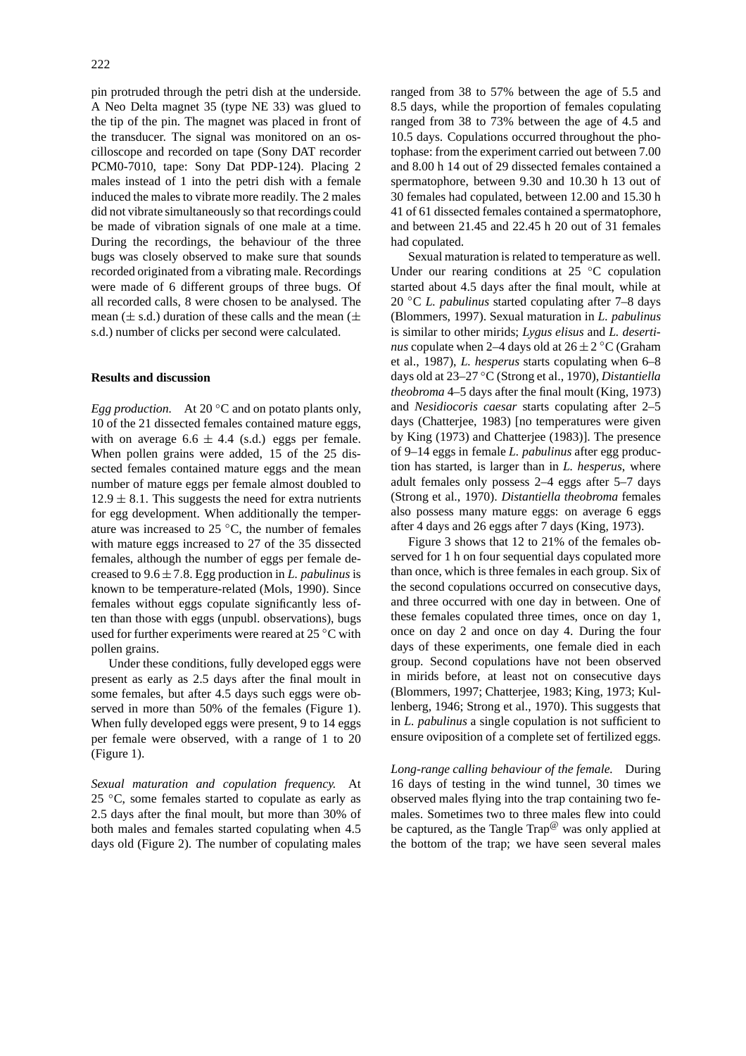pin protruded through the petri dish at the underside. A Neo Delta magnet 35 (type NE 33) was glued to the tip of the pin. The magnet was placed in front of the transducer. The signal was monitored on an oscilloscope and recorded on tape (Sony DAT recorder PCM0-7010, tape: Sony Dat PDP-124). Placing 2 males instead of 1 into the petri dish with a female induced the males to vibrate more readily. The 2 males did not vibrate simultaneously so that recordings could be made of vibration signals of one male at a time. During the recordings, the behaviour of the three bugs was closely observed to make sure that sounds recorded originated from a vibrating male. Recordings were made of 6 different groups of three bugs. Of all recorded calls, 8 were chosen to be analysed. The mean ( $\pm$  s.d.) duration of these calls and the mean ( $\pm$ s.d.) number of clicks per second were calculated.

## **Results and discussion**

*Egg production.* At 20 <sup>○</sup>C and on potato plants only, 10 of the 21 dissected females contained mature eggs, with on average  $6.6 \pm 4.4$  (s.d.) eggs per female. When pollen grains were added, 15 of the 25 dissected females contained mature eggs and the mean number of mature eggs per female almost doubled to  $12.9 \pm 8.1$ . This suggests the need for extra nutrients for egg development. When additionally the temperature was increased to 25 ◦C, the number of females with mature eggs increased to 27 of the 35 dissected females, although the number of eggs per female decreased to 9*.*6±7*.*8. Egg production in *L. pabulinus* is known to be temperature-related (Mols, 1990). Since females without eggs copulate significantly less often than those with eggs (unpubl. observations), bugs used for further experiments were reared at 25 °C with pollen grains.

Under these conditions, fully developed eggs were present as early as 2.5 days after the final moult in some females, but after 4.5 days such eggs were observed in more than 50% of the females (Figure 1). When fully developed eggs were present, 9 to 14 eggs per female were observed, with a range of 1 to 20 (Figure 1).

*Sexual maturation and copulation frequency.* At 25  $°C$ , some females started to copulate as early as 2.5 days after the final moult, but more than 30% of both males and females started copulating when 4.5 days old (Figure 2). The number of copulating males

ranged from 38 to 57% between the age of 5.5 and 8.5 days, while the proportion of females copulating ranged from 38 to 73% between the age of 4.5 and 10.5 days. Copulations occurred throughout the photophase: from the experiment carried out between 7.00 and 8.00 h 14 out of 29 dissected females contained a spermatophore, between 9.30 and 10.30 h 13 out of 30 females had copulated, between 12.00 and 15.30 h 41 of 61 dissected females contained a spermatophore, and between 21.45 and 22.45 h 20 out of 31 females had copulated.

Sexual maturation is related to temperature as well. Under our rearing conditions at 25 ◦C copulation started about 4.5 days after the final moult, while at 20 ◦C *L. pabulinus* started copulating after 7–8 days (Blommers, 1997). Sexual maturation in *L. pabulinus* is similar to other mirids; *Lygus elisus* and *L. desertinus* copulate when 2–4 days old at  $26 \pm 2$  °C (Graham et al., 1987), *L. hesperus* starts copulating when 6–8 days old at 23–27 ◦C (Strong et al., 1970), *Distantiella theobroma* 4–5 days after the final moult (King, 1973) and *Nesidiocoris caesar* starts copulating after 2–5 days (Chatterjee, 1983) [no temperatures were given by King (1973) and Chatterjee (1983)]. The presence of 9–14 eggs in female *L. pabulinus* after egg production has started, is larger than in *L. hesperus*, where adult females only possess 2–4 eggs after 5–7 days (Strong et al., 1970). *Distantiella theobroma* females also possess many mature eggs: on average 6 eggs after 4 days and 26 eggs after 7 days (King, 1973).

Figure 3 shows that 12 to 21% of the females observed for 1 h on four sequential days copulated more than once, which is three females in each group. Six of the second copulations occurred on consecutive days, and three occurred with one day in between. One of these females copulated three times, once on day 1, once on day 2 and once on day 4. During the four days of these experiments, one female died in each group. Second copulations have not been observed in mirids before, at least not on consecutive days (Blommers, 1997; Chatterjee, 1983; King, 1973; Kullenberg, 1946; Strong et al., 1970). This suggests that in *L. pabulinus* a single copulation is not sufficient to ensure oviposition of a complete set of fertilized eggs.

*Long-range calling behaviour of the female.* During 16 days of testing in the wind tunnel, 30 times we observed males flying into the trap containing two females. Sometimes two to three males flew into could be captured, as the Tangle Trap $^{\textcircled{\tiny{\textregistered}} }$  was only applied at the bottom of the trap; we have seen several males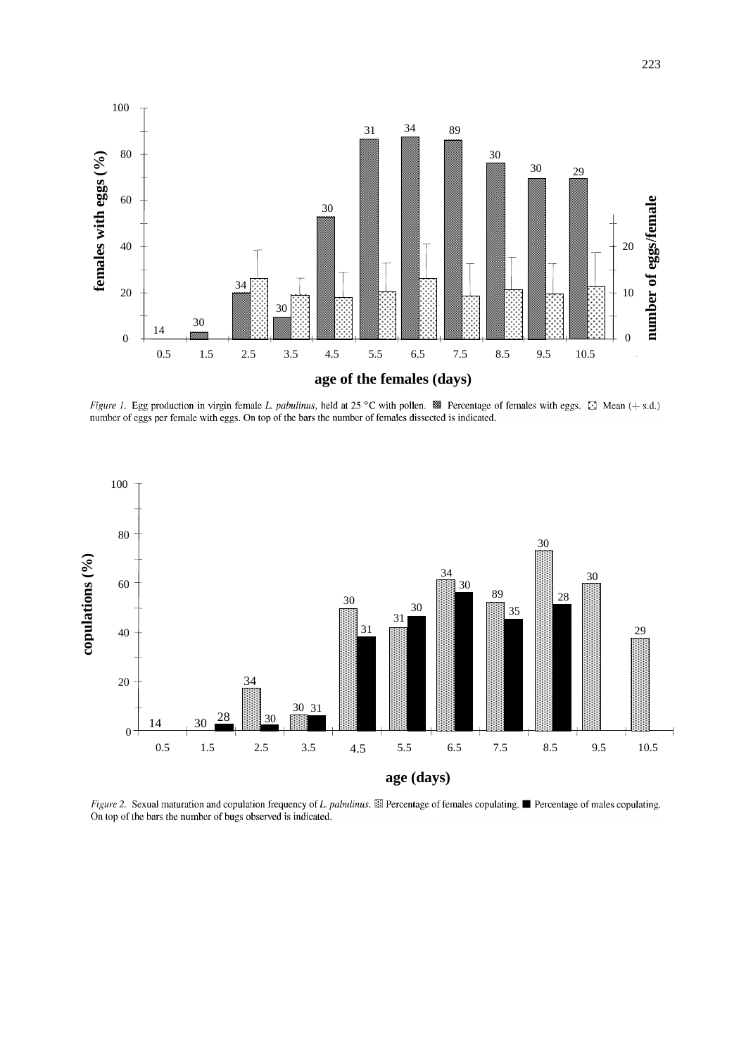

Figure 1. Egg production in virgin female L. pabulinus, held at 25 °C with pollen.  $\mathbb{R}$  Percentage of females with eggs.  $\Box$  Mean (+ s.d.) number of eggs per female with eggs. On top of the bars the number of females dissected is indicated.



Figure 2. Sexual maturation and copulation frequency of L. pabulinus. El Percentage of females copulating. ■ Percentage of males copulating. On top of the bars the number of bugs observed is indicated.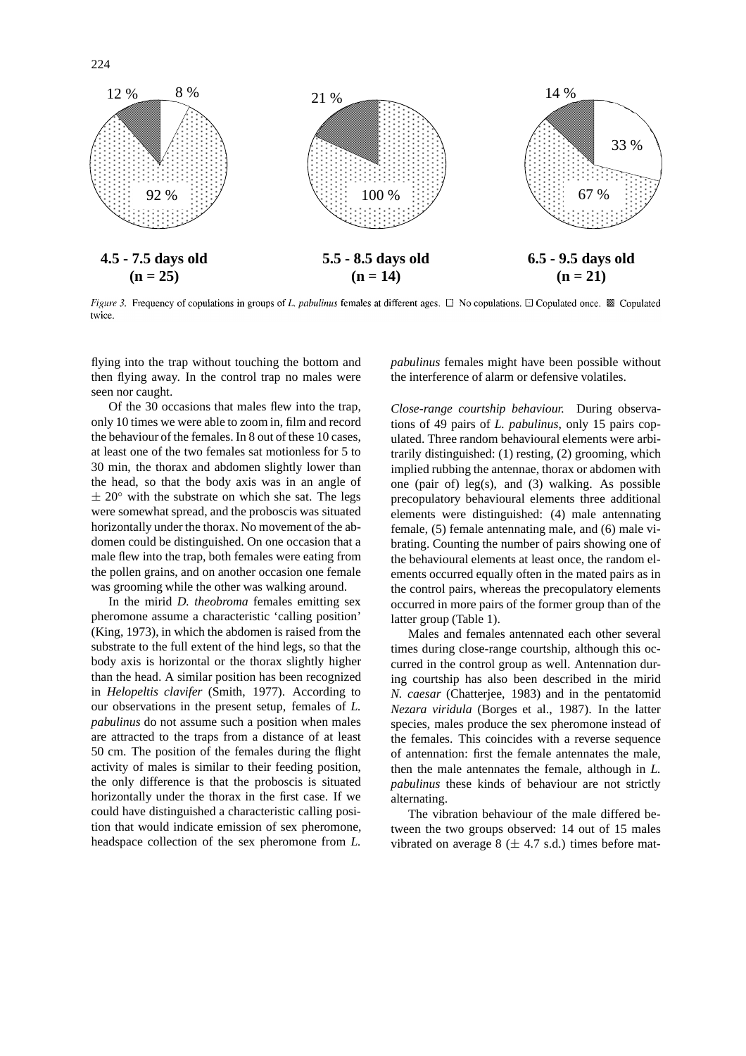

*Figure 3.* Frequency of copulations in groups of L. pabulinus females at different ages.  $\Box$  No copulations.  $\Box$  Copulated once.  $\Box$  Copulated twice

flying into the trap without touching the bottom and then flying away. In the control trap no males were seen nor caught.

224

Of the 30 occasions that males flew into the trap, only 10 times we were able to zoom in, film and record the behaviour of the females. In 8 out of these 10 cases, at least one of the two females sat motionless for 5 to 30 min, the thorax and abdomen slightly lower than the head, so that the body axis was in an angle of  $\pm 20^{\circ}$  with the substrate on which she sat. The legs were somewhat spread, and the proboscis was situated horizontally under the thorax. No movement of the abdomen could be distinguished. On one occasion that a male flew into the trap, both females were eating from the pollen grains, and on another occasion one female was grooming while the other was walking around.

In the mirid *D. theobroma* females emitting sex pheromone assume a characteristic 'calling position' (King, 1973), in which the abdomen is raised from the substrate to the full extent of the hind legs, so that the body axis is horizontal or the thorax slightly higher than the head. A similar position has been recognized in *Helopeltis clavifer* (Smith, 1977). According to our observations in the present setup, females of *L. pabulinus* do not assume such a position when males are attracted to the traps from a distance of at least 50 cm. The position of the females during the flight activity of males is similar to their feeding position, the only difference is that the proboscis is situated horizontally under the thorax in the first case. If we could have distinguished a characteristic calling position that would indicate emission of sex pheromone, headspace collection of the sex pheromone from *L.*

*pabulinus* females might have been possible without the interference of alarm or defensive volatiles.

*Close-range courtship behaviour.* During observations of 49 pairs of *L. pabulinus*, only 15 pairs copulated. Three random behavioural elements were arbitrarily distinguished: (1) resting, (2) grooming, which implied rubbing the antennae, thorax or abdomen with one (pair of) leg(s), and  $(3)$  walking. As possible precopulatory behavioural elements three additional elements were distinguished: (4) male antennating female, (5) female antennating male, and (6) male vibrating. Counting the number of pairs showing one of the behavioural elements at least once, the random elements occurred equally often in the mated pairs as in the control pairs, whereas the precopulatory elements occurred in more pairs of the former group than of the latter group (Table 1).

Males and females antennated each other several times during close-range courtship, although this occurred in the control group as well. Antennation during courtship has also been described in the mirid *N. caesar* (Chatterjee, 1983) and in the pentatomid *Nezara viridula* (Borges et al., 1987). In the latter species, males produce the sex pheromone instead of the females. This coincides with a reverse sequence of antennation: first the female antennates the male, then the male antennates the female, although in *L. pabulinus* these kinds of behaviour are not strictly alternating.

The vibration behaviour of the male differed between the two groups observed: 14 out of 15 males vibrated on average  $8$  ( $\pm$  4.7 s.d.) times before mat-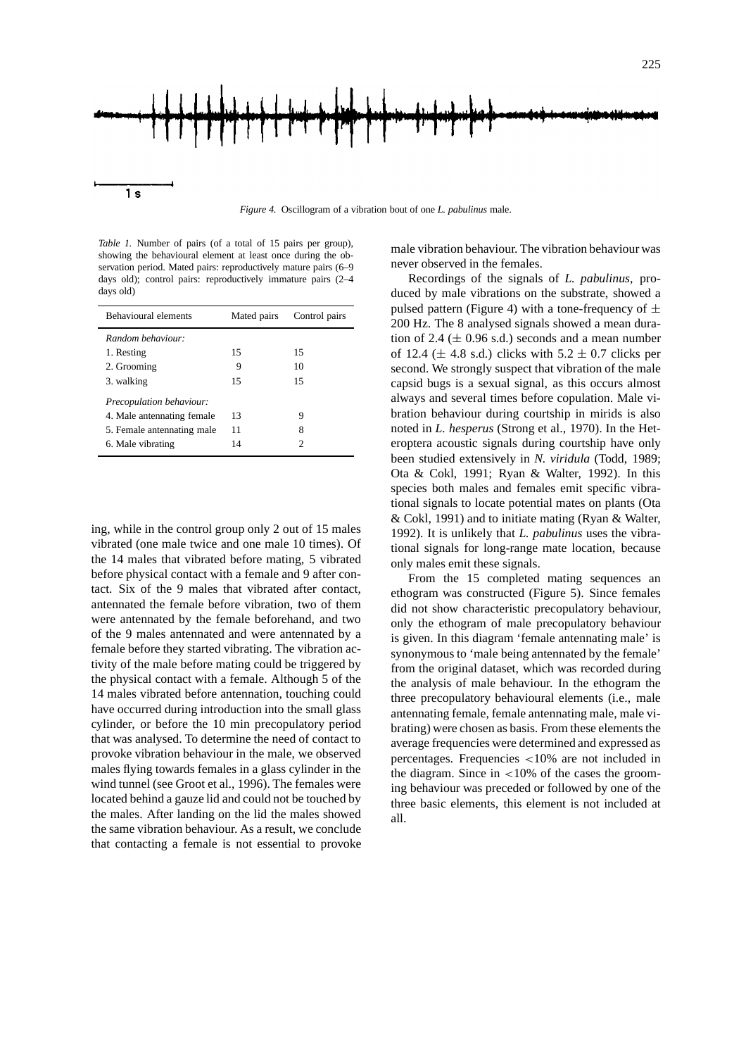

*Figure 4.* Oscillogram of a vibration bout of one *L. pabulinus* male.

*Table 1.* Number of pairs (of a total of 15 pairs per group), showing the behavioural element at least once during the observation period. Mated pairs: reproductively mature pairs (6–9 days old); control pairs: reproductively immature pairs (2–4 days old)

| <b>Behavioural elements</b> | Mated pairs | Control pairs |
|-----------------------------|-------------|---------------|
| Random behaviour:           |             |               |
| 1. Resting                  | 15          | 15            |
| 2. Grooming                 | 9           | 10            |
| 3. walking                  | 15          | 15            |
| Precopulation behaviour:    |             |               |
| 4. Male antennating female  | 13          | 9             |
| 5. Female antennating male  | 11          | 8             |
| 6. Male vibrating           | 14          | 2             |

ing, while in the control group only 2 out of 15 males vibrated (one male twice and one male 10 times). Of the 14 males that vibrated before mating, 5 vibrated before physical contact with a female and 9 after contact. Six of the 9 males that vibrated after contact, antennated the female before vibration, two of them were antennated by the female beforehand, and two of the 9 males antennated and were antennated by a female before they started vibrating. The vibration activity of the male before mating could be triggered by the physical contact with a female. Although 5 of the 14 males vibrated before antennation, touching could have occurred during introduction into the small glass cylinder, or before the 10 min precopulatory period that was analysed. To determine the need of contact to provoke vibration behaviour in the male, we observed males flying towards females in a glass cylinder in the wind tunnel (see Groot et al., 1996). The females were located behind a gauze lid and could not be touched by the males. After landing on the lid the males showed the same vibration behaviour. As a result, we conclude that contacting a female is not essential to provoke

male vibration behaviour. The vibration behaviour was never observed in the females.

Recordings of the signals of *L. pabulinus*, produced by male vibrations on the substrate, showed a pulsed pattern (Figure 4) with a tone-frequency of  $\pm$ 200 Hz. The 8 analysed signals showed a mean duration of 2.4 ( $\pm$  0.96 s.d.) seconds and a mean number of 12.4 ( $\pm$  4.8 s.d.) clicks with  $5.2 \pm 0.7$  clicks per second. We strongly suspect that vibration of the male capsid bugs is a sexual signal, as this occurs almost always and several times before copulation. Male vibration behaviour during courtship in mirids is also noted in *L. hesperus* (Strong et al., 1970). In the Heteroptera acoustic signals during courtship have only been studied extensively in *N. viridula* (Todd, 1989; Ota & Cokl, 1991; Ryan & Walter, 1992). In this species both males and females emit specific vibrational signals to locate potential mates on plants (Ota & Cokl, 1991) and to initiate mating (Ryan & Walter, 1992). It is unlikely that *L. pabulinus* uses the vibrational signals for long-range mate location, because only males emit these signals.

From the 15 completed mating sequences an ethogram was constructed (Figure 5). Since females did not show characteristic precopulatory behaviour, only the ethogram of male precopulatory behaviour is given. In this diagram 'female antennating male' is synonymous to 'male being antennated by the female' from the original dataset, which was recorded during the analysis of male behaviour. In the ethogram the three precopulatory behavioural elements (i.e., male antennating female, female antennating male, male vibrating) were chosen as basis. From these elements the average frequencies were determined and expressed as percentages. Frequencies *<*10% are not included in the diagram. Since in *<*10% of the cases the grooming behaviour was preceded or followed by one of the three basic elements, this element is not included at all.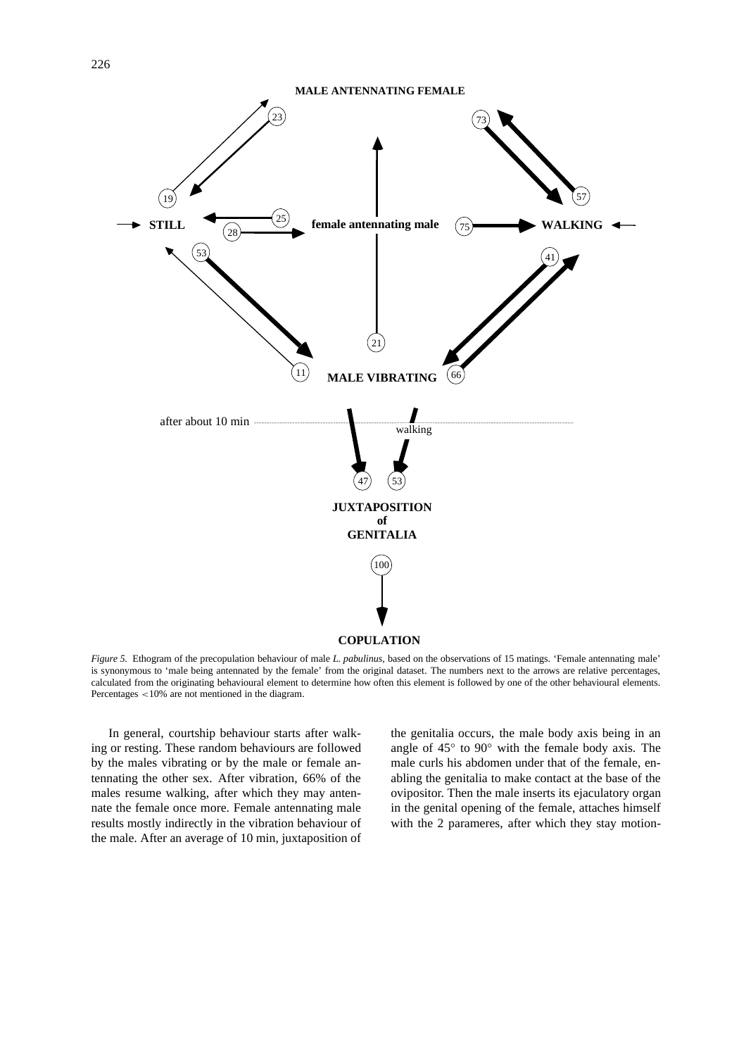

*Figure 5.* Ethogram of the precopulation behaviour of male *L. pabulinus*, based on the observations of 15 matings. 'Female antennating male' is synonymous to 'male being antennated by the female' from the original dataset. The numbers next to the arrows are relative percentages, calculated from the originating behavioural element to determine how often this element is followed by one of the other behavioural elements. Percentages *<*10% are not mentioned in the diagram.

In general, courtship behaviour starts after walking or resting. These random behaviours are followed by the males vibrating or by the male or female antennating the other sex. After vibration, 66% of the males resume walking, after which they may antennate the female once more. Female antennating male results mostly indirectly in the vibration behaviour of the male. After an average of 10 min, juxtaposition of the genitalia occurs, the male body axis being in an angle of 45◦ to 90◦ with the female body axis. The male curls his abdomen under that of the female, enabling the genitalia to make contact at the base of the ovipositor. Then the male inserts its ejaculatory organ in the genital opening of the female, attaches himself with the 2 parameres, after which they stay motion-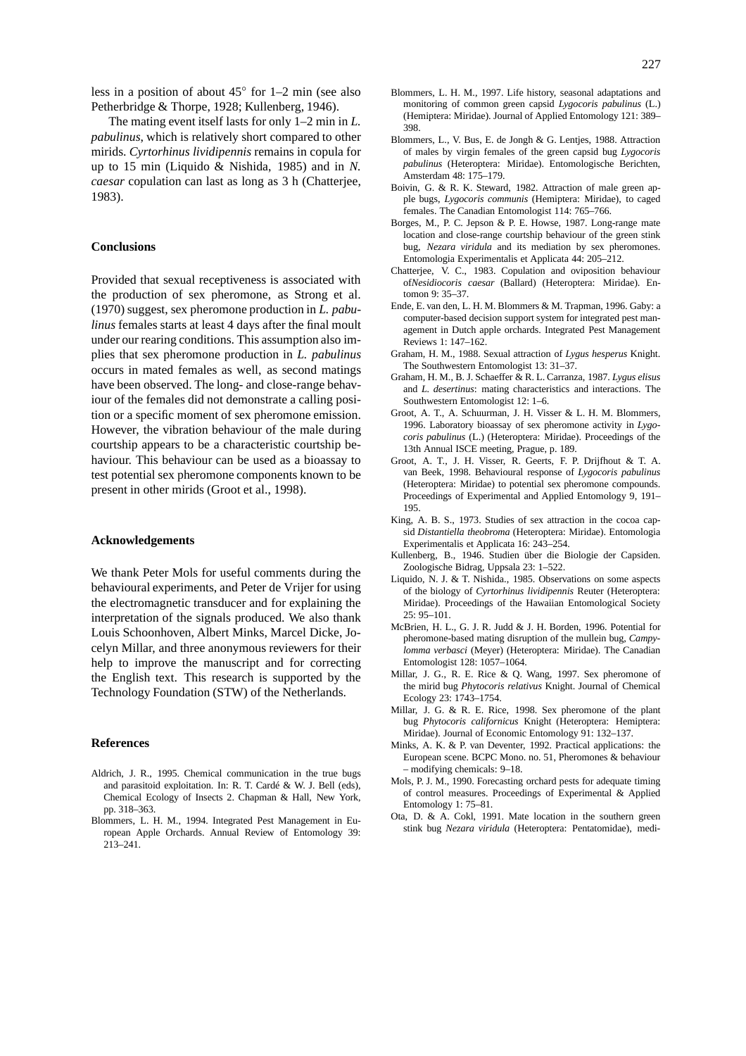The mating event itself lasts for only 1–2 min in *L. pabulinus*, which is relatively short compared to other mirids. *Cyrtorhinus lividipennis* remains in copula for up to 15 min (Liquido & Nishida, 1985) and in *N. caesar* copulation can last as long as 3 h (Chatterjee, 1983).

## **Conclusions**

Provided that sexual receptiveness is associated with the production of sex pheromone, as Strong et al. (1970) suggest, sex pheromone production in *L. pabulinus* females starts at least 4 days after the final moult under our rearing conditions. This assumption also implies that sex pheromone production in *L. pabulinus* occurs in mated females as well, as second matings have been observed. The long- and close-range behaviour of the females did not demonstrate a calling position or a specific moment of sex pheromone emission. However, the vibration behaviour of the male during courtship appears to be a characteristic courtship behaviour. This behaviour can be used as a bioassay to test potential sex pheromone components known to be present in other mirids (Groot et al., 1998).

## **Acknowledgements**

We thank Peter Mols for useful comments during the behavioural experiments, and Peter de Vrijer for using the electromagnetic transducer and for explaining the interpretation of the signals produced. We also thank Louis Schoonhoven, Albert Minks, Marcel Dicke, Jocelyn Millar, and three anonymous reviewers for their help to improve the manuscript and for correcting the English text. This research is supported by the Technology Foundation (STW) of the Netherlands.

#### **References**

- Aldrich, J. R., 1995. Chemical communication in the true bugs and parasitoid exploitation. In: R. T. Cardé & W. J. Bell (eds), Chemical Ecology of Insects 2. Chapman & Hall, New York, pp. 318–363.
- Blommers, L. H. M., 1994. Integrated Pest Management in European Apple Orchards. Annual Review of Entomology 39: 213–241.
- Blommers, L. H. M., 1997. Life history, seasonal adaptations and monitoring of common green capsid *Lygocoris pabulinus* (L.) (Hemiptera: Miridae). Journal of Applied Entomology 121: 389– 398.
- Blommers, L., V. Bus, E. de Jongh & G. Lentjes, 1988. Attraction of males by virgin females of the green capsid bug *Lygocoris pabulinus* (Heteroptera: Miridae). Entomologische Berichten, Amsterdam 48: 175–179.
- Boivin, G. & R. K. Steward, 1982. Attraction of male green apple bugs, *Lygocoris communis* (Hemiptera: Miridae), to caged females. The Canadian Entomologist 114: 765–766.
- Borges, M., P. C. Jepson & P. E. Howse, 1987. Long-range mate location and close-range courtship behaviour of the green stink bug, *Nezara viridula* and its mediation by sex pheromones. Entomologia Experimentalis et Applicata 44: 205–212.
- Chatterjee, V. C., 1983. Copulation and oviposition behaviour of*Nesidiocoris caesar* (Ballard) (Heteroptera: Miridae). Entomon 9: 35–37.
- Ende, E. van den, L. H. M. Blommers & M. Trapman, 1996. Gaby: a computer-based decision support system for integrated pest management in Dutch apple orchards. Integrated Pest Management Reviews 1: 147–162.
- Graham, H. M., 1988. Sexual attraction of *Lygus hesperus* Knight. The Southwestern Entomologist 13: 31–37.
- Graham, H. M., B. J. Schaeffer & R. L. Carranza, 1987. *Lygus elisus* and *L. desertinus*: mating characteristics and interactions. The Southwestern Entomologist 12: 1–6.
- Groot, A. T., A. Schuurman, J. H. Visser & L. H. M. Blommers, 1996. Laboratory bioassay of sex pheromone activity in *Lygocoris pabulinus* (L.) (Heteroptera: Miridae). Proceedings of the 13th Annual ISCE meeting, Prague, p. 189.
- Groot, A. T., J. H. Visser, R. Geerts, F. P. Drijfhout & T. A. van Beek, 1998. Behavioural response of *Lygocoris pabulinus* (Heteroptera: Miridae) to potential sex pheromone compounds. Proceedings of Experimental and Applied Entomology 9, 191– 195.
- King, A. B. S., 1973. Studies of sex attraction in the cocoa capsid *Distantiella theobroma* (Heteroptera: Miridae). Entomologia Experimentalis et Applicata 16: 243–254.
- Kullenberg, B., 1946. Studien über die Biologie der Capsiden. Zoologische Bidrag, Uppsala 23: 1–522.
- Liquido, N. J. & T. Nishida., 1985. Observations on some aspects of the biology of *Cyrtorhinus lividipennis* Reuter (Heteroptera: Miridae). Proceedings of the Hawaiian Entomological Society  $25:95-101$ .
- McBrien, H. L., G. J. R. Judd & J. H. Borden, 1996. Potential for pheromone-based mating disruption of the mullein bug, *Campylomma verbasci* (Meyer) (Heteroptera: Miridae). The Canadian Entomologist 128: 1057–1064.
- Millar, J. G., R. E. Rice & Q. Wang, 1997. Sex pheromone of the mirid bug *Phytocoris relativus* Knight. Journal of Chemical Ecology 23: 1743–1754.
- Millar, J. G. & R. E. Rice, 1998. Sex pheromone of the plant bug *Phytocoris californicus* Knight (Heteroptera: Hemiptera: Miridae). Journal of Economic Entomology 91: 132–137.
- Minks, A. K. & P. van Deventer, 1992. Practical applications: the European scene. BCPC Mono. no. 51, Pheromones & behaviour – modifying chemicals: 9–18.
- Mols, P. J. M., 1990. Forecasting orchard pests for adequate timing of control measures. Proceedings of Experimental & Applied Entomology 1: 75–81.
- Ota, D. & A. Cokl, 1991. Mate location in the southern green stink bug *Nezara viridula* (Heteroptera: Pentatomidae), medi-